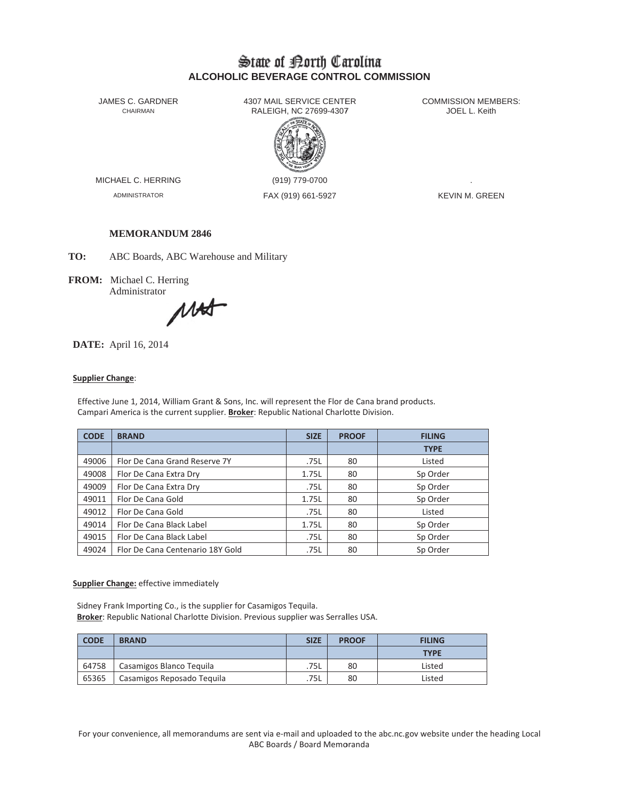# State of Borth Carolina **ALCOHOLIC BEVERAGE CONTROL COMMISSION**

JAMES C. GARDNER CHAIRMAN

4307 MAIL SERVICE CENTER RALEIGH, NC 27699-4307



MICHAEL C. HERRING

**ADMINISTRATOR** 

(919) 779-0700 FAX (919) 661-5927 **COMMISSION MEMBERS:** JOEL L. Keith

**KEVIN M. GREEN** 

### **MEMORANDUM 2846**

TO: ABC Boards, ABC Warehouse and Military

FROM: Michael C. Herring Administrator

MAS

**DATE:** April 16, 2014

#### **Supplier Change:**

Effective June 1, 2014, William Grant & Sons, Inc. will represent the Flor de Cana brand products. Campari America is the current supplier. Broker: Republic National Charlotte Division.

| <b>CODE</b> | <b>BRAND</b>                     | <b>SIZE</b> | <b>PROOF</b> | <b>FILING</b> |  |
|-------------|----------------------------------|-------------|--------------|---------------|--|
|             |                                  |             |              | <b>TYPE</b>   |  |
| 49006       | Flor De Cana Grand Reserve 7Y    | .75L        | 80           | Listed        |  |
| 49008       | Flor De Cana Extra Dry           | 1.75L       | 80           | Sp Order      |  |
| 49009       | Flor De Cana Extra Dry           | .75L        | 80           | Sp Order      |  |
| 49011       | Flor De Cana Gold                | 1.75L       | 80           | Sp Order      |  |
| 49012       | Flor De Cana Gold                | .75L        | 80           | Listed        |  |
| 49014       | Flor De Cana Black Label         | 1.75L       | 80           | Sp Order      |  |
| 49015       | Flor De Cana Black Label         | .75L        | 80           | Sp Order      |  |
| 49024       | Flor De Cana Centenario 18Y Gold | .75L        | 80           | Sp Order      |  |

**Supplier Change:** effective immediately

Sidney Frank Importing Co., is the supplier for Casamigos Tequila. Broker: Republic National Charlotte Division. Previous supplier was Serralles USA.

| <b>CODE</b> | <b>BRAND</b>               | <b>SIZE</b> | <b>PROOF</b><br><b>FILING</b> |             |
|-------------|----------------------------|-------------|-------------------------------|-------------|
|             |                            |             |                               | <b>TYPE</b> |
| 64758       | Casamigos Blanco Teguila   | .75L        | 80                            | Listed      |
| 65365       | Casamigos Reposado Tequila | .75L        | 80                            | Listed      |

For your convenience, all memorandums are sent via e-mail and uploaded to the abc.nc.gov website under the heading Local ABC Boards / Board Memoranda